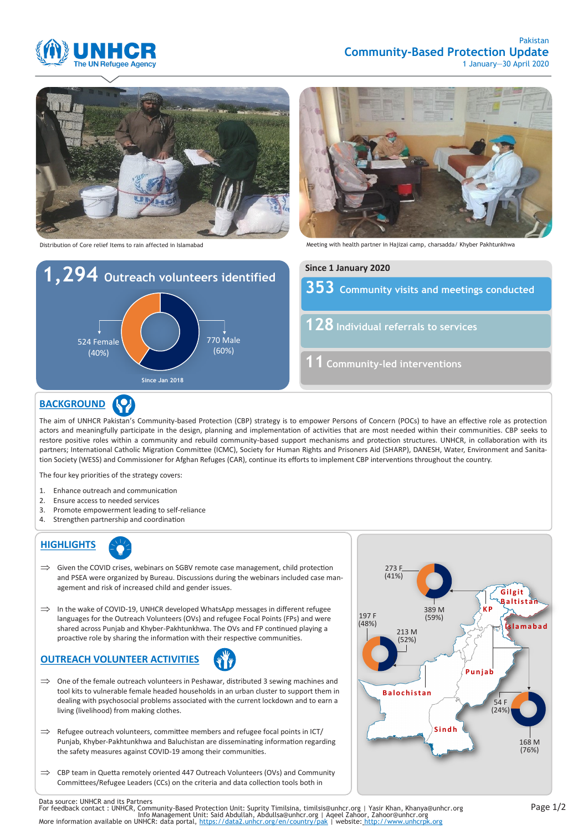

#### Pakistan **Community-Based Protection Update** 1 January—30 April 2020



Distribution of Core relief Items to rain affected in Islamabad





Meeting with health partner in Hajizai camp, charsadda/ Khyber Pakhtunkhwa

**Community visits and meetings conducted Individual referrals to services Community-led interventions Since 1 January 2020**

## **BACKGROUND**

The aim of UNHCR Pakistan's Community-based Protection (CBP) strategy is to empower Persons of Concern (POCs) to have an effective role as protection actors and meaningfully participate in the design, planning and implementation of activities that are most needed within their communities. CBP seeks to restore positive roles within a community and rebuild community-based support mechanisms and protection structures. UNHCR, in collaboration with its partners; International Catholic Migration Committee (ICMC), Society for Human Rights and Prisoners Aid (SHARP), DANESH, Water, Environment and Sanitation Society (WESS) and Commissioner for Afghan Refuges (CAR), continue its efforts to implement CBP interventions throughout the country.

The four key priorities of the strategy covers:

- 1. Enhance outreach and communication
- 2. Ensure access to needed services
- 3. Promote empowerment leading to self-reliance
- 4. Strengthen partnership and coordination

# **HIGHLIGHTS**

- $\implies$  Given the COVID crises, webinars on SGBV remote case management, child protection and PSEA were organized by Bureau. Discussions during the webinars included case management and risk of increased child and gender issues.
- $\implies$  In the wake of COVID-19, UNHCR developed WhatsApp messages in different refugee languages for the Outreach Volunteers (OVs) and refugee Focal Points (FPs) and were shared across Punjab and Khyber-Pakhtunkhwa. The OVs and FP continued playing a proactive role by sharing the information with their respective communities.

# **OUTREACH VOLUNTEER ACTIVITIES**

- $\implies$  One of the female outreach volunteers in Peshawar, distributed 3 sewing machines and tool kits to vulnerable female headed households in an urban cluster to support them in dealing with psychosocial problems associated with the current lockdown and to earn a living (livelihood) from making clothes.
- $\implies$  Refugee outreach volunteers, committee members and refugee focal points in ICT/ Punjab, Khyber-Pakhtunkhwa and Baluchistan are disseminating information regarding the safety measures against COVID-19 among their communities.
- $\Rightarrow$  CBP team in Quetta remotely oriented 447 Outreach Volunteers (OVs) and Community Committees/Refugee Leaders (CCs) on the criteria and data collection tools both in



Data source: UNHCR and its Partners<br>For feedback contact : UNHCR, Community-Based Protection Unit: Suprity Timilsina, timilsis@unhcr.org | Yasir Khan, Khanya@unhcr.org<br>For feedback contact : UNHCR, ommunity-Based Protectio